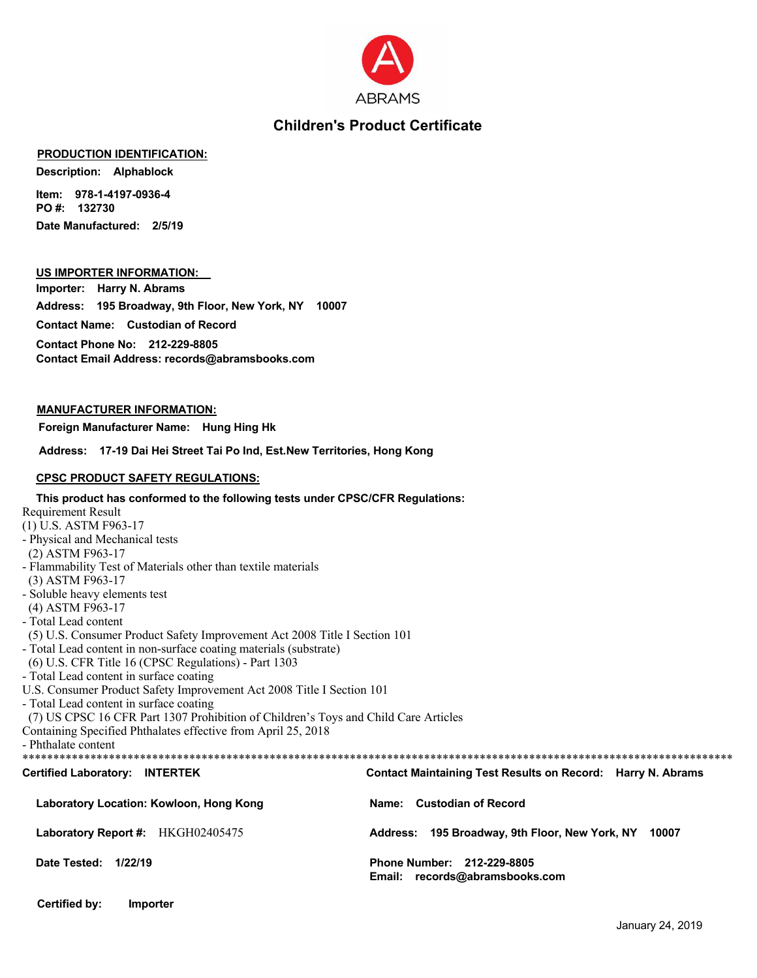

## **Children's Product Certificate**

#### **PRODUCTION IDENTIFICATION:**

**Description: Alphablock** 

Item: 978-1-4197-0936-4 PO#: 132730 Date Manufactured: 2/5/19

### US IMPORTER INFORMATION:

Importer: Harry N. Abrams Address: 195 Broadway, 9th Floor, New York, NY 10007 **Contact Name:** Custodian of Record

Contact Phone No: 212-229-8805 Contact Email Address: records@abramsbooks.com

#### **MANUFACTURER INFORMATION:**

Foreign Manufacturer Name: Hung Hing Hk

Address: 17-19 Dai Hei Street Tai Po Ind, Est.New Territories, Hong Kong

#### **CPSC PRODUCT SAFETY REGULATIONS:**

| This product has conformed to the following tests under CPSC/CFR Regulations:       |                                                                    |
|-------------------------------------------------------------------------------------|--------------------------------------------------------------------|
| Requirement Result                                                                  |                                                                    |
| (1) U.S. ASTM F963-17                                                               |                                                                    |
| - Physical and Mechanical tests                                                     |                                                                    |
| (2) ASTM F963-17                                                                    |                                                                    |
| - Flammability Test of Materials other than textile materials                       |                                                                    |
| (3) ASTM F963-17                                                                    |                                                                    |
| - Soluble heavy elements test                                                       |                                                                    |
| (4) ASTM F963-17                                                                    |                                                                    |
| - Total Lead content                                                                |                                                                    |
| (5) U.S. Consumer Product Safety Improvement Act 2008 Title I Section 101           |                                                                    |
| - Total Lead content in non-surface coating materials (substrate)                   |                                                                    |
| (6) U.S. CFR Title 16 (CPSC Regulations) - Part 1303                                |                                                                    |
| - Total Lead content in surface coating                                             |                                                                    |
| U.S. Consumer Product Safety Improvement Act 2008 Title I Section 101               |                                                                    |
| - Total Lead content in surface coating                                             |                                                                    |
| (7) US CPSC 16 CFR Part 1307 Prohibition of Children's Toys and Child Care Articles |                                                                    |
| Containing Specified Phthalates effective from April 25, 2018                       |                                                                    |
| - Phthalate content                                                                 |                                                                    |
|                                                                                     |                                                                    |
| <b>Certified Laboratory: INTERTEK</b>                                               | <b>Contact Maintaining Test Results on Record: Harry N. Abrams</b> |
| Laboratory Location: Kowloon, Hong Kong                                             | Name: Custodian of Record                                          |
| Laboratory Report #: HKGH02405475                                                   | Address: 195 Broadway, 9th Floor, New York, NY 10007               |
| Date Tested: 1/22/19                                                                | Phone Number: 212-229-8805<br>Email: records@abramsbooks.com       |
|                                                                                     |                                                                    |

**Certified by:** Importer